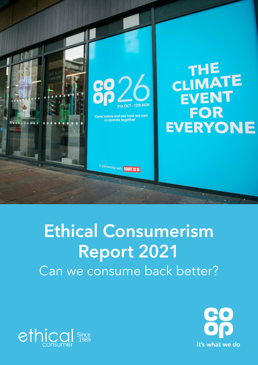



Come instore and see how we can co-operate together

In partnership with **COUNT US IN** 

# Ethical Consumerism Report 2021 Can we consume back better?



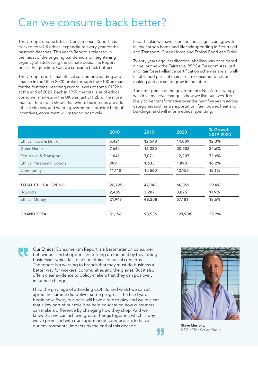### Can we consume back better?

The Co-op's unique Ethical Consumerism Report has tracked total UK ethical expenditure every year for the past two decades. This year's Report is released in the midst of the ongoing pandemic and heightening urgency of addressing the climate crisis. The Report poses the question: Can we consume back better?

The Co-op reports that ethical consumer spending and finance in the UK in 2020 broke through the £100bn mark for the first time, reaching record levels of some £122bn at the end of 2020. Back in 1999, the total size of ethical consumer markets in the UK was just £11.2bn. The more than ten-fold uplift shows that where businesses provide ethical choices, and where governments provide helpful incentives, consumers will respond positively.

In particular, we have seen the most significant growth in low-carbon home and lifestyle spending in Eco-travel and Transport, Green Home and Ethical Food and Drink.

Twenty years ago, certification labelling was considered niche, but now the Fairtrade, RSPCA Freedom Assured and Rainforest Alliance certification schemes are all wellestablished parts of mainstream consumer decisionmaking and are set to grow in the future.

The emergence of the government's Net Zero strategy will drive massive change in how we live our lives. It is likely to be transformative over the next five years across categories such as transportation, fuel, power, heat and buildings, and will inform ethical spending.

|                                  | 2010   | 2019   | 2020    | % Growth<br>2019-2020 |
|----------------------------------|--------|--------|---------|-----------------------|
| Ethical Food & Drink             | 5,421  | 12,548 | 14,089  | 12.3%                 |
| Green Home                       | 7,644  | 15,230 | 20,503  | 34.6%                 |
| Eco-travel & Transport           | 1,641  | 7,071  | 12,207  | 72.6%                 |
| <b>Ethical Personal Products</b> | 909    | 1,633  | 1,898   | 16.2%                 |
| Community                        | 11,110 | 10,560 | 12,155  | 15.1%                 |
|                                  |        |        |         |                       |
| <b>TOTAL ETHICAL SPEND</b>       | 26,725 | 47,042 | 60,851  | 29.4%                 |
| <b>Boycotts</b>                  | 2,485  | 3,287  | 3,875   | 17.9%                 |
| <b>Ethical Money</b>             | 21,947 | 48,208 | 57,181  | 18.6%                 |
|                                  |        |        |         |                       |
| <b>GRAND TOTAL</b>               | 51,156 | 98,536 | 121,908 | 23.7%                 |

Our Ethical Consumerism Report is a barometer on consumer behaviour – and shoppers are turning up the heat by boycotting businesses which fail to act on ethical or social concerns. The report is a warning to brands that they must do business a better way for workers, communities and the planet. But it also offers clear evidence to policy-makers that they can positively influence change.

I had the privilege of attending COP-26 and whilst we can all agree the summit did deliver some progress, the hard yards begin now. Every business will have a role to play and we're clear that a key part of our role is to help educate on how customers can make a difference by changing how they shop. And we know that we can achieve greater things together, which is why we've promised with our supermarket counterparts to halve our environmental impacts by the end of this decade. Steve Murrells,



CEO of The Co-op Group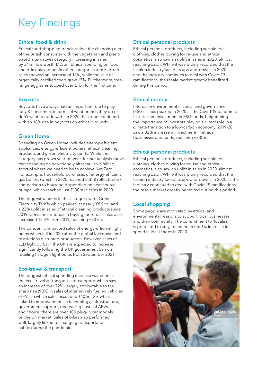# Key Findings

#### Ethical food & drink

Ethical food shopping trends reflect the changing diets of the British consumer with the vegetarian and plantbased alternatives category increasing in sales by 34%, now worth £1.5bn. Ethical spending on food and drink played out in other categories too: Fairtrade sales showed an increase of 14%, while the sale of organically certified food grew 13%. Furthermore, freerange egg sales topped over £1bn for the first time.

#### **Boycotts**

Boycotts have always had an important role to play for UK consumers in terms of what brands they do or don't want to trade with. In 2020 this trend continued with an 18% rise in boycotts on ethical grounds.

#### Green Home

Spending on Green Home includes energy-efficient appliances, energy-efficient boilers, ethical cleaning products and green electricity tariffs. While the category has grown year-on-year, further analysis shows that spending on eco-friendly alternatives is falling short of where we need to be to achieve Net Zero. For example, household purchases of energy-efficient gas boilers (which in 2020 reached £5bn) reflects stark comparison to household spending on heat source pumps, which reached just £130m in sales in 2020.

The biggest winners in this category were Green Electricity Tariffs which peaked at nearly £8.9bn, and a 22% uplift in sales of ethical cleaning products since 2019. Consumer interest in buying for re-use sales also increased 15.4% from 2019, reaching £837m.

The pandemic impacted sales of energy-efficient light bulbs which fell in 2020 after the global lockdown and restrictions disrupted production. However, sales of LED light bulbs in the UK are expected to increase significantly following the UK government ban on retailing halogen light bulbs from September 2021.

#### Eco-travel & transport

The biggest ethical spending increase was seen in the Eco-Travel & Transport sub-category, which saw an increase of over 72%, largely attributable to the sharp rise (93%) in sales of alternatively fuelled vehicles (AFVs) in which sales exceeded £10bn. Growth is linked to improvements in technology, infrastructure, government support, decreasing costs of AFVs and choice: there are over 100 plug-in car models on the UK market. Sales of bikes also performed well, largely linked to changing transportation habits during the pandemic.

#### Ethical personal products

Ethical personal products, including sustainable clothing, clothes buying for re-use and ethical cosmetics, also saw an uplift in sales in 2020, almost reaching £2bn. While it was widely recorded that the fashion industry faced its ups-and-downs in 2020 and the industry continues to deal with Covid-19 ramifications, the resale market greatly benefitted during this period.

#### Ethical money

Interest in environmental, social and governance (ESG) issues peaked in 2020 as the Covid-19 pandemic fast-tracked investment in ESG funds, heightening the importance of investors playing a direct role in a climate transition to a low-carbon economy. 2019-20 saw a 32% increase in investment in ethical businesses and funds, reaching £33bn.

#### Ethical personal products

Ethical personal products, including sustainable clothing, clothes buying for re-use and ethical cosmetics, also saw an uplift in sales in 2020, almost reaching £2bn. While it was widely recorded that the fashion industry faced its ups-and-downs in 2020 as the industry continued to deal with Covid-19 ramifications, the resale market greatly benefited during this period.

#### Local shopping

Some people are motivated by ethical and environmental reasons to support local businesses and their community. The commitment to 'localism' is predicted to stay, reflected in the 6% increase in spend in local shops in 2020.

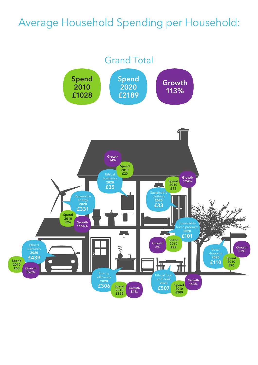### Average Household Spending per Household:

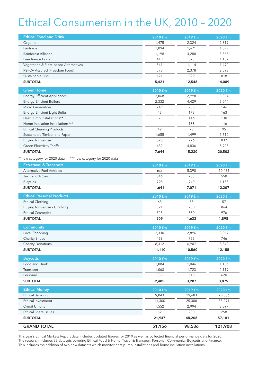## Ethical Consumerism in the UK, 2010 – 2020

| <b>Ethical Food and Drink</b>                                  | $2010 \text{ fm}$ | 2019 £m | 2020 £m |
|----------------------------------------------------------------|-------------------|---------|---------|
| Organic                                                        | 1,475             | 2,324   | 2,619   |
| Fairtrade                                                      | 1,094             | 1,671   | 1,899   |
| Rainforest Alliance                                            | 1,198             | 3,288   | 3,568   |
| Free Range Eggs                                                | 419               | 873     | 1,102   |
| Vegetarian & Plant-based Alternatives                          | 541               | 1,114   | 1,490   |
| RSPCA Assured (Freedom Food)                                   | 573               | 2,378   | 2,593   |
| Sustainable Fish                                               | 121               | 899     | 818     |
| <b>SUBTOTAL</b>                                                | 5,421             | 12,548  | 14,089  |
| <b>Green Home</b>                                              | 2010 £m           | 2019 £m | 2020 £m |
| <b>Energy-Efficient Appliances</b>                             | 2,068             | 2,998   | 3,334   |
| <b>Energy-Efficient Boilers</b>                                | 2,332             | 4,429   | 5,044   |
| Micro Generation                                               | 249               | 208     | 146     |
| Energy-Efficient Light Bulbs                                   | 43                | 173     | 163     |
| Heat Pump Installations**                                      |                   | 146     | 130     |
| Home Insulation Installations***                               |                   | 138     | 116     |
| <b>Ethical Cleaning Products</b>                               | 42                | 78      | 95      |
| Sustainable Timber and Paper                                   | 1,655             | 1,499   | 1,710   |
| Buying for Re-use                                              | 823               | 726     | 837     |
| <b>Green Electricity Tariffs</b>                               | 432               | 4,836   | 8,928   |
| <b>SUBTOTAL</b>                                                | 7,644             | 15,230  | 20,503  |
| **new category for 2020 data<br>*** new category for 2020 data |                   |         |         |
| <b>Eco-travel &amp; Transport</b>                              | 2010 £m           | 2019 £m | 2020 fm |
| <b>Alternative Fuel Vehicles</b>                               | n/a               | 5,398   | 10,461  |
| Tax Band A Cars                                                | 846               | 733     | 558     |
| <b>Bicycles</b>                                                | 795               | 940     | 1,188   |
| <b>SUBTOTAL</b>                                                | 1,641             | 7,071   | 12,207  |
|                                                                |                   |         |         |
| <b>Ethical Personal Products</b>                               | 2010 £m           | 2019 £m | 2020 £m |
| <b>Ethical Clothing</b>                                        | 63                | 53      | 57      |
| Buying for Re-use - Clothing                                   | 321               | 700     | 864     |
| <b>Ethical Cosmetics</b>                                       | 525               | 880     | 976     |
| <b>SUBTOTAL</b>                                                | 909               | 1,633   | 1,898   |
| <b>Community</b>                                               | $2010 \text{ fm}$ | 2019 £m | 2020 £m |
| Local Shopping                                                 | 2,330             | 2,896   | 3,067   |
| <b>Charity Shops</b>                                           | 468               | 756     | 746     |
| <b>Charity Donations</b>                                       | 8,312             | 6,907   | 8,342   |
| <b>SUBTOTAL</b>                                                | 11,110            | 10,560  | 12,155  |
| <b>Boycotts</b>                                                | 2010 £m           | 2019 £m | 2020 £m |
| Food and Drink                                                 | 1,084             | 1,046   | 1,136   |
| Transport                                                      | 1,068             | 1,723   | 2,119   |
| Personal                                                       | 333               | 518     | 620     |
| <b>SUBTOTAL</b>                                                | 2,485             | 3,287   | 3,875   |
| <b>Ethical Money</b>                                           | 2010 £m           | 2019 £m | 2020 £m |
| <b>Ethical Banking</b>                                         | 9,043             | 19,683  | 20,536  |
| Ethical Investment                                             | 11,300            | 25,300  | 33,291  |
| <b>Credit Unions</b>                                           | 1,552             | 2,994   | 3,097   |
| <b>Ethical Share Issues</b>                                    | 52                | 230     | 258     |
| <b>SUBTOTAL</b>                                                | 21,947            | 48,208  | 57,181  |
|                                                                |                   |         |         |
| <b>GRAND TOTAL</b>                                             | 51,156            | 98,536  | 121,908 |

This year's Ethical Markets Report data includes updated figures for 2019 as well as collected financial performance data for 2020. The research includes 33 datasets covering Ethical Food & Home, Travel & Transport, Personal, Community, Boycotts and Finance. This includes the addition of two new datasets which monitor heat pump installations and home insulation installations.